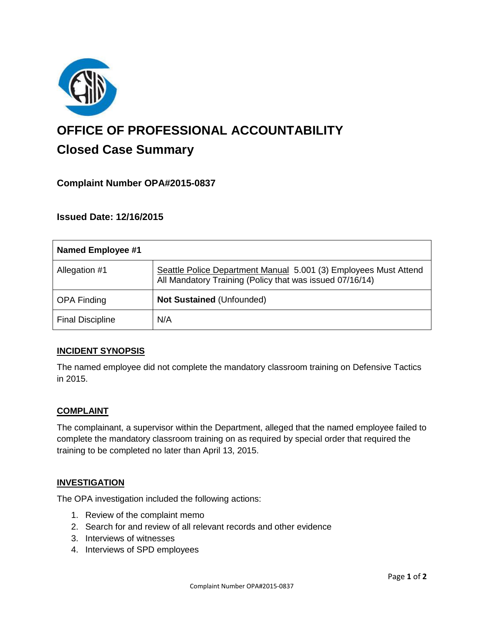

# **OFFICE OF PROFESSIONAL ACCOUNTABILITY Closed Case Summary**

# **Complaint Number OPA#2015-0837**

**Issued Date: 12/16/2015**

| Named Employee #1       |                                                                                                                              |
|-------------------------|------------------------------------------------------------------------------------------------------------------------------|
| Allegation #1           | Seattle Police Department Manual 5.001 (3) Employees Must Attend<br>All Mandatory Training (Policy that was issued 07/16/14) |
| <b>OPA Finding</b>      | <b>Not Sustained (Unfounded)</b>                                                                                             |
| <b>Final Discipline</b> | N/A                                                                                                                          |

## **INCIDENT SYNOPSIS**

The named employee did not complete the mandatory classroom training on Defensive Tactics in 2015.

## **COMPLAINT**

The complainant, a supervisor within the Department, alleged that the named employee failed to complete the mandatory classroom training on as required by special order that required the training to be completed no later than April 13, 2015.

#### **INVESTIGATION**

The OPA investigation included the following actions:

- 1. Review of the complaint memo
- 2. Search for and review of all relevant records and other evidence
- 3. Interviews of witnesses
- 4. Interviews of SPD employees